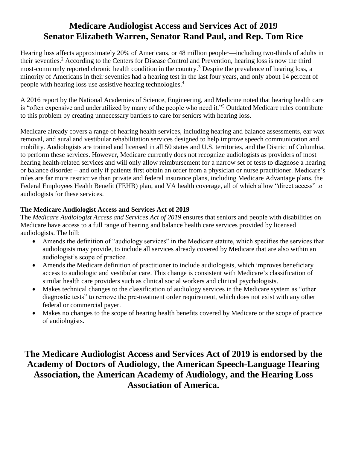## **Medicare Audiologist Access and Services Act of 2019 Senator Elizabeth Warren, Senator Rand Paul, and Rep. Tom Rice**

Hearing loss affects approximately 20% of Americans, or 48 million people<sup>1</sup>—including two-thirds of adults in their seventies.<sup>2</sup> According to the Centers for Disease Control and Prevention, hearing loss is now the third most-commonly reported chronic health condition in the country.<sup>3</sup> Despite the prevalence of hearing loss, a minority of Americans in their seventies had a hearing test in the last four years, and only about 14 percent of people with hearing loss use assistive hearing technologies. 4

A 2016 report by the National Academies of Science, Engineering, and Medicine noted that hearing health care is "often expensive and underutilized by many of the people who need it."<sup>5</sup> Outdated Medicare rules contribute to this problem by creating unnecessary barriers to care for seniors with hearing loss.

Medicare already covers a range of hearing health services, including hearing and balance assessments, ear wax removal, and aural and vestibular rehabilitation services designed to help improve speech communication and mobility. Audiologists are trained and licensed in all 50 states and U.S. territories, and the District of Columbia, to perform these services. However, Medicare currently does not recognize audiologists as providers of most hearing health-related services and will only allow reimbursement for a narrow set of tests to diagnose a hearing or balance disorder – and only if patients first obtain an order from a physician or nurse practitioner. Medicare's rules are far more restrictive than private and federal insurance plans, including Medicare Advantage plans, the Federal Employees Health Benefit (FEHB) plan, and VA health coverage, all of which allow "direct access" to audiologists for these services.

## **The Medicare Audiologist Access and Services Act of 2019**

The *Medicare Audiologist Access and Services Act of 2019* ensures that seniors and people with disabilities on Medicare have access to a full range of hearing and balance health care services provided by licensed audiologists. The bill:

- Amends the definition of "audiology services" in the Medicare statute, which specifies the services that audiologists may provide, to include all services already covered by Medicare that are also within an audiologist's scope of practice.
- Amends the Medicare definition of practitioner to include audiologists, which improves beneficiary access to audiologic and vestibular care. This change is consistent with Medicare's classification of similar health care providers such as clinical social workers and clinical psychologists.
- Makes technical changes to the classification of audiology services in the Medicare system as "other diagnostic tests" to remove the pre-treatment order requirement, which does not exist with any other federal or commercial payer.
- Makes no changes to the scope of hearing health benefits covered by Medicare or the scope of practice of audiologists.

## **The Medicare Audiologist Access and Services Act of 2019 is endorsed by the Academy of Doctors of Audiology, the American Speech-Language Hearing Association, the American Academy of Audiology, and the Hearing Loss Association of America.**